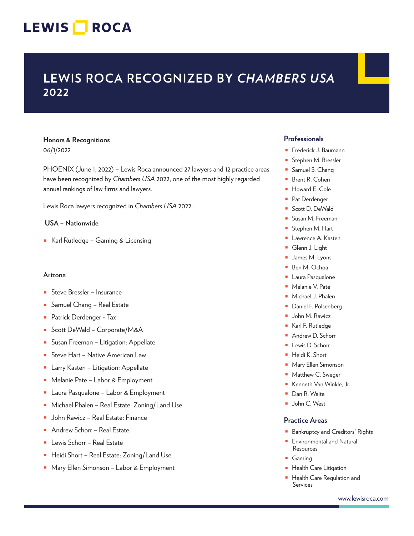# LEWIS **NOCA**

# **LEWIS ROCA RECOGNIZED BY** *CHAMBERS USA* **2022**

### **Honors & Recognitions** 06/1/2022

PHOENIX (June 1, 2022) – Lewis Roca announced 27 lawyers and 12 practice areas have been recognized by *Chambers USA* 2022, one of the most highly regarded annual rankings of law firms and lawyers.

Lewis Roca lawyers recognized in *Chambers USA* 2022:

#### **USA – Nationwide**

■ Karl Rutledge – Gaming & Licensing

#### **Arizona**

- Steve Bressler Insurance
- Samuel Chang Real Estate
- Patrick Derdenger Tax
- Scott DeWald Corporate/M&A
- Susan Freeman Litigation: Appellate
- Steve Hart Native American Law
- Larry Kasten Litigation: Appellate
- Melanie Pate Labor & Employment
- Laura Pasqualone Labor & Employment
- Michael Phalen Real Estate: Zoning/Land Use
- John Rawicz Real Estate: Finance
- Andrew Schorr Real Estate
- Lewis Schorr Real Estate
- Heidi Short Real Estate: Zoning/Land Use
- Mary Ellen Simonson Labor & Employment

### **Professionals**

- Frederick J. Baumann
- Stephen M. Bressler
- Samuel S. Chang
- Brent R. Cohen
- Howard E. Cole
- Pat Derdenger
- Scott D. DeWald
- Susan M. Freeman
- Stephen M. Hart
- Lawrence A. Kasten
- Glenn J. Light
- James M. Lyons
- Ben M. Ochoa
- Laura Pasqualone
- Melanie V. Pate
- Michael J. Phalen
- Daniel F. Polsenberg
- John M. Rawicz
- Karl F. Rutledge
- Andrew D. Schorr
- Lewis D. Schorr
- Heidi K. Short
- Mary Ellen Simonson
- Matthew C. Sweger
- Kenneth Van Winkle, Jr.
- Dan R. Waite
- John C. West

### **Practice Areas**

- Bankruptcy and Creditors' Rights
- Environmental and Natural Resources
- Gaming
- Health Care Litigation
- Health Care Regulation and Services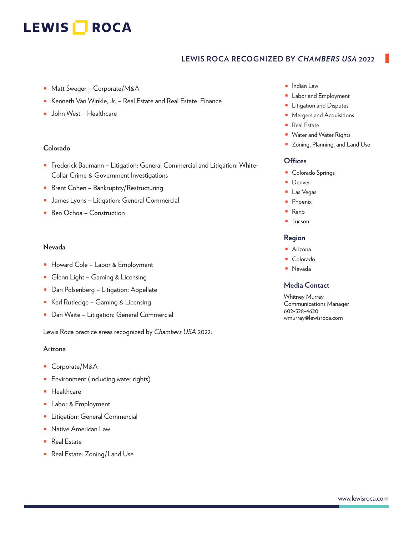# LEWIS **NOCA**

## **LEWIS ROCA RECOGNIZED BY** *CHAMBERS USA* **2022**

- Matt Sweger Corporate/M&A
- Kenneth Van Winkle, Jr. Real Estate and Real Estate: Finance
- John West Healthcare

#### **Colorado**

- Frederick Baumann Litigation: General Commercial and Litigation: White-Collar Crime & Government Investigations
- Brent Cohen Bankruptcy/Restructuring
- James Lyons Litigation: General Commercial
- Ben Ochoa Construction

#### **Nevada**

- Howard Cole Labor & Employment
- Glenn Light Gaming & Licensing
- Dan Polsenberg Litigation: Appellate
- Karl Rutledge Gaming & Licensing
- Dan Waite Litigation: General Commercial

Lewis Roca practice areas recognized by *Chambers USA* 2022:

#### **Arizona**

- Corporate/M&A
- **■** Environment (including water rights)
- Healthcare
- Labor & Employment
- Litigation: General Commercial
- Native American Law
- Real Estate
- Real Estate: Zoning/Land Use
- Indian Law
- Labor and Employment
- Litigation and Disputes
- Mergers and Acquisitions
- Real Estate
- Water and Water Rights
- Zoning, Planning, and Land Use

#### **Offices**

- Colorado Springs
- Denver
- Las Vegas
- Phoenix
- Reno
- Tucson

#### **Region**

- Arizona
- Colorado
- Nevada

#### **Media Contact**

Whitney Murray Communications Manager 602-528-4620 wmurray@lewisroca.com